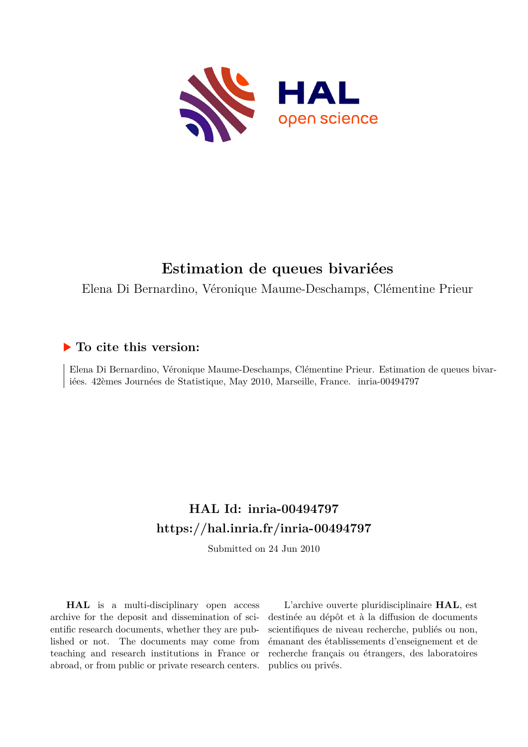

# **Estimation de queues bivariées**

Elena Di Bernardino, Véronique Maume-Deschamps, Clémentine Prieur

### **To cite this version:**

Elena Di Bernardino, Véronique Maume-Deschamps, Clémentine Prieur. Estimation de queues bivariées. 42èmes Journées de Statistique, May 2010, Marseille, France. inria-00494797

## **HAL Id: inria-00494797 <https://hal.inria.fr/inria-00494797>**

Submitted on 24 Jun 2010

**HAL** is a multi-disciplinary open access archive for the deposit and dissemination of scientific research documents, whether they are published or not. The documents may come from teaching and research institutions in France or abroad, or from public or private research centers.

L'archive ouverte pluridisciplinaire **HAL**, est destinée au dépôt et à la diffusion de documents scientifiques de niveau recherche, publiés ou non, émanant des établissements d'enseignement et de recherche français ou étrangers, des laboratoires publics ou privés.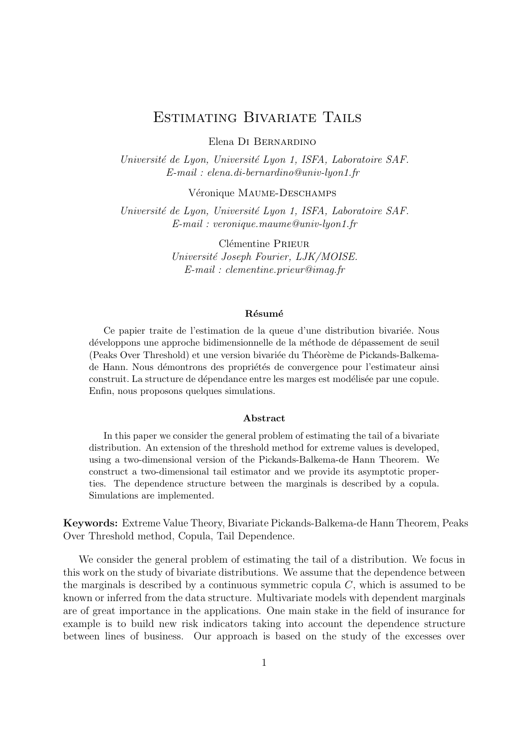### Estimating Bivariate Tails

Elena Di Bernardino

Université de Lyon, Université Lyon 1, ISFA, Laboratoire SAF. E-mail : elena.di-bernardino@univ-lyon1.fr

Véronique MAUME-DESCHAMPS

Université de Lyon, Université Lyon 1, ISFA, Laboratoire SAF. E-mail : veronique.maume@univ-lyon1.fr

> Clémentine PRIEUR Universit´e Joseph Fourier, LJK/MOISE. E-mail : clementine.prieur@imag.fr

#### Résumé

Ce papier traite de l'estimation de la queue d'une distribution bivari´ee. Nous développons une approche bidimensionnelle de la méthode de dépassement de seuil (Peaks Over Threshold) et une version bivariée du Théorème de Pickands-Balkemade Hann. Nous démontrons des propriétés de convergence pour l'estimateur ainsi construit. La structure de dépendance entre les marges est modélisée par une copule. Enfin, nous proposons quelques simulations.

#### Abstract

In this paper we consider the general problem of estimating the tail of a bivariate distribution. An extension of the threshold method for extreme values is developed, using a two-dimensional version of the Pickands-Balkema-de Hann Theorem. We construct a two-dimensional tail estimator and we provide its asymptotic properties. The dependence structure between the marginals is described by a copula. Simulations are implemented.

Keywords: Extreme Value Theory, Bivariate Pickands-Balkema-de Hann Theorem, Peaks Over Threshold method, Copula, Tail Dependence.

We consider the general problem of estimating the tail of a distribution. We focus in this work on the study of bivariate distributions. We assume that the dependence between the marginals is described by a continuous symmetric copula  $C$ , which is assumed to be known or inferred from the data structure. Multivariate models with dependent marginals are of great importance in the applications. One main stake in the field of insurance for example is to build new risk indicators taking into account the dependence structure between lines of business. Our approach is based on the study of the excesses over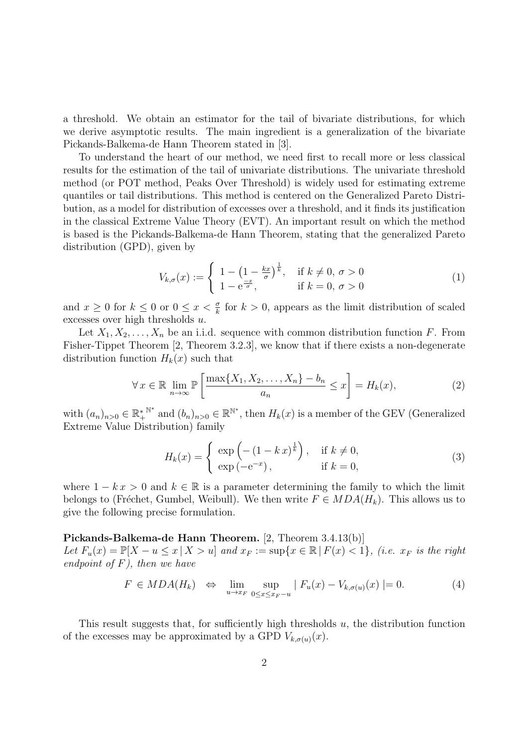a threshold. We obtain an estimator for the tail of bivariate distributions, for which we derive asymptotic results. The main ingredient is a generalization of the bivariate Pickands-Balkema-de Hann Theorem stated in [3].

To understand the heart of our method, we need first to recall more or less classical results for the estimation of the tail of univariate distributions. The univariate threshold method (or POT method, Peaks Over Threshold) is widely used for estimating extreme quantiles or tail distributions. This method is centered on the Generalized Pareto Distribution, as a model for distribution of excesses over a threshold, and it finds its justification in the classical Extreme Value Theory (EVT). An important result on which the method is based is the Pickands-Balkema-de Hann Theorem, stating that the generalized Pareto distribution (GPD), given by

$$
V_{k,\sigma}(x) := \begin{cases} 1 - \left(1 - \frac{kx}{\sigma}\right)^{\frac{1}{k}}, & \text{if } k \neq 0, \sigma > 0\\ 1 - e^{\frac{-x}{\sigma}}, & \text{if } k = 0, \sigma > 0 \end{cases}
$$
(1)

and  $x \geq 0$  for  $k \leq 0$  or  $0 \leq x < \frac{\sigma}{k}$  for  $k > 0$ , appears as the limit distribution of scaled excesses over high thresholds u.

Let  $X_1, X_2, \ldots, X_n$  be an i.i.d. sequence with common distribution function F. From Fisher-Tippet Theorem [2, Theorem 3.2.3], we know that if there exists a non-degenerate distribution function  $H_k(x)$  such that

$$
\forall x \in \mathbb{R} \lim_{n \to \infty} \mathbb{P}\left[\frac{\max\{X_1, X_2, \dots, X_n\} - b_n}{a_n} \le x\right] = H_k(x),\tag{2}
$$

with  $(a_n)_{n>0} \in \mathbb{R}_+^*$ <sup>N\*</sup> and  $(b_n)_{n>0} \in \mathbb{R}^{\mathbb{N}^*}$ , then  $H_k(x)$  is a member of the GEV (Generalized Extreme Value Distribution) family

$$
H_k(x) = \begin{cases} \exp\left(-\left(1 - k x\right)^{\frac{1}{k}}\right), & \text{if } k \neq 0, \\ \exp\left(-e^{-x}\right), & \text{if } k = 0, \end{cases}
$$
\n
$$
(3)
$$

where  $1 - kx > 0$  and  $k \in \mathbb{R}$  is a parameter determining the family to which the limit belongs to (Fréchet, Gumbel, Weibull). We then write  $F \in MDA(H_k)$ . This allows us to give the following precise formulation.

#### Pickands-Balkema-de Hann Theorem. [2, Theorem 3.4.13(b)]

Let  $F_u(x) = \mathbb{P}[X - u \le x | X > u]$  and  $x_F := \sup\{x \in \mathbb{R} | F(x) < 1\}$ , (i.e.  $x_F$  is the right endpoint of  $F$ ), then we have

$$
F \in MDA(H_k) \iff \lim_{u \to x_F} \sup_{0 \le x \le x_F - u} |F_u(x) - V_{k, \sigma(u)}(x)| = 0.
$$
 (4)

This result suggests that, for sufficiently high thresholds  $u$ , the distribution function of the excesses may be approximated by a GPD  $V_{k,\sigma(u)}(x)$ .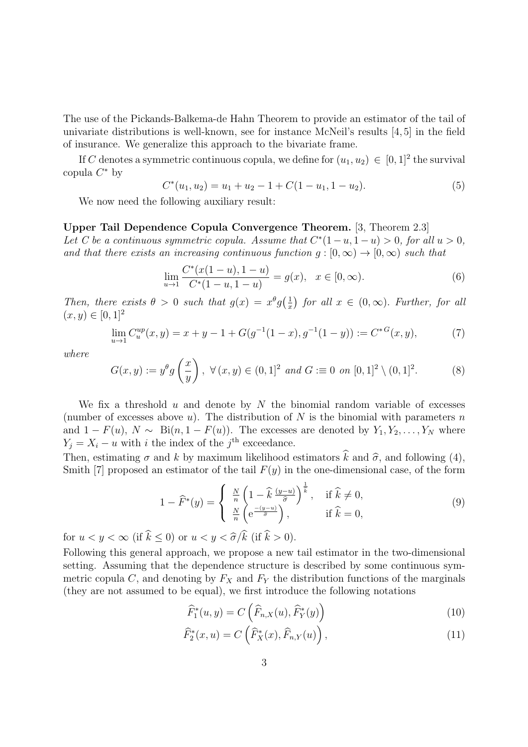The use of the Pickands-Balkema-de Hahn Theorem to provide an estimator of the tail of univariate distributions is well-known, see for instance McNeil's results [4, 5] in the field of insurance. We generalize this approach to the bivariate frame.

If C denotes a symmetric continuous copula, we define for  $(u_1, u_2) \in [0, 1]^2$  the survival copula  $C^*$  by

$$
C^*(u_1, u_2) = u_1 + u_2 - 1 + C(1 - u_1, 1 - u_2). \tag{5}
$$

We now need the following auxiliary result:

Upper Tail Dependence Copula Convergence Theorem. [3, Theorem 2.3] Let C be a continuous symmetric copula. Assume that  $C^*(1-u, 1-u) > 0$ , for all  $u > 0$ , and that there exists an increasing continuous function  $q : [0, \infty) \to [0, \infty)$  such that

$$
\lim_{u \to 1} \frac{C^*(x(1-u), 1-u)}{C^*(1-u, 1-u)} = g(x), \quad x \in [0, \infty).
$$
\n(6)

Then, there exists  $\theta > 0$  such that  $g(x) = x^{\theta} g(\frac{1}{x})$  $\frac{1}{x}$  for all  $x \in (0, \infty)$ . Further, for all  $(x, y) \in [0, 1]^2$ 

$$
\lim_{u \to 1} C_u^{up}(x, y) = x + y - 1 + G(g^{-1}(1 - x), g^{-1}(1 - y)) := C^{*G}(x, y),
$$
\n(7)

where

$$
G(x,y) := y^{\theta} g\left(\frac{x}{y}\right), \ \forall \, (x,y) \in (0,1]^2 \ and \ G := 0 \ on \ [0,1]^2 \setminus (0,1]^2. \tag{8}
$$

We fix a threshold  $u$  and denote by  $N$  the binomial random variable of excesses (number of excesses above  $u$ ). The distribution of N is the binomial with parameters  $n$ and  $1 - F(u)$ ,  $N \sim$  Bi $(n, 1 - F(u))$ . The excesses are denoted by  $Y_1, Y_2, \ldots, Y_N$  where  $Y_j = X_i - u$  with i the index of the j<sup>th</sup> exceedance.

Then, estimating  $\sigma$  and k by maximum likelihood estimators k and  $\hat{\sigma}$ , and following (4), Smith [7] proposed an estimator of the tail  $F(y)$  in the one-dimensional case, of the form

$$
1 - \widehat{F}^*(y) = \begin{cases} \frac{N}{n} \left( 1 - \widehat{k} \frac{(y-u)}{\widehat{\sigma}} \right)^{\frac{1}{k}}, & \text{if } \widehat{k} \neq 0, \\ \frac{N}{n} \left( e^{\frac{-(y-u)}{\widehat{\sigma}}} \right), & \text{if } \widehat{k} = 0, \end{cases}
$$
(9)

for  $u < y < \infty$  (if  $\hat{k} < 0$ ) or  $u < y < \hat{\sigma}/\hat{k}$  (if  $\hat{k} > 0$ ).

Following this general approach, we propose a new tail estimator in the two-dimensional setting. Assuming that the dependence structure is described by some continuous symmetric copula C, and denoting by  $F_X$  and  $F_Y$  the distribution functions of the marginals (they are not assumed to be equal), we first introduce the following notations

$$
\widehat{F}_1^*(u, y) = C\left(\widehat{F}_{n,X}(u), \widehat{F}_Y^*(y)\right)
$$
\n(10)

$$
\widehat{F}_2^*(x, u) = C\left(\widehat{F}_X^*(x), \widehat{F}_{n,Y}(u)\right),\tag{11}
$$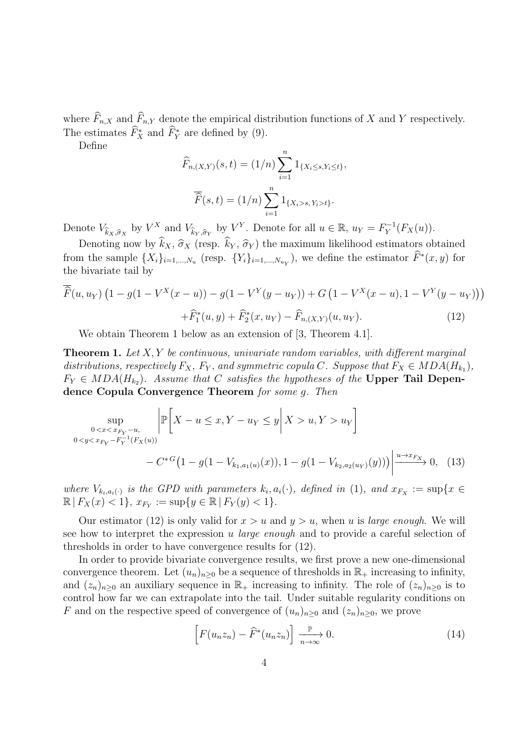where  $\widehat{F}_{n,X}$  and  $\widehat{F}_{n,Y}$  denote the empirical distribution functions of X and Y respectively. The estimates  $\widehat{F}_X^*$  and  $\widehat{F}_Y^*$  are defined by (9).

Define

$$
\widehat{F}_{n,(X,Y)}(s,t) = (1/n) \sum_{i=1}^{n} 1_{\{X_i \le s, Y_i \le t\}},
$$

$$
\overline{\widehat{F}}(s,t) = (1/n) \sum_{i=1}^{n} 1_{\{X_i > s, Y_i > t\}}.
$$

Denote  $V_{\hat{k}_X,\hat{\sigma}_X}$  by  $V^X$  and  $V_{\hat{k}_Y,\hat{\sigma}_Y}$  by  $V^Y$ . Denote for all  $u \in \mathbb{R}$ ,  $u_Y = F_Y^{-1}$  $Y^{-1}(F_X(u)).$ 

Denoting now by  $\widehat{k}_X$ ,  $\widehat{\sigma}_X$  (resp.  $\widehat{k}_Y$ ,  $\widehat{\sigma}_Y$ ) the maximum likelihood estimators obtained from the sample  $\{X_i\}_{i=1,\dots,N_u}$  (resp.  $\{Y_i\}_{i=1,\dots,N_{u_Y}}$ ), we define the estimator  $\tilde{F}^*(x,y)$  for the bivariate tail by

$$
\overline{\widehat{F}}(u, u_Y) \left(1 - g(1 - V^X(x - u)) - g(1 - V^Y(y - u_Y)) + G\left(1 - V^X(x - u), 1 - V^Y(y - u_Y)\right)\right) + \widehat{F}_1^*(u, y) + \widehat{F}_2^*(x, u_Y) - \widehat{F}_{n,(X,Y)}(u, u_Y).
$$
(12)

We obtain Theorem 1 below as an extension of [3, Theorem 4.1].

**Theorem 1.** Let  $X, Y$  be continuous, univariate random variables, with different marginal distributions, respectively  $F_X$ ,  $F_Y$ , and symmetric copula C. Suppose that  $F_X \in MDA(H_{k_1}),$  $F_Y \in MDA(H_{k_2})$ . Assume that C satisfies the hypotheses of the Upper Tail Dependence Copula Convergence Theorem for some g. Then

$$
\sup_{\substack{0 < x < x_{F_Y} - u, \\ 0 < y < x_{F_Y} - F_Y^{-1}(F_X(u))}} \left| \mathbb{P} \left[ X - u \le x, Y - u_Y \le y \middle| X > u, Y > u_Y \right] \right. \\ \left. - C^{*G} \left( 1 - g(1 - V_{k_1, a_1(u)}(x)), 1 - g(1 - V_{k_2, a_2(u_Y)}(y)) \right) \right| \xrightarrow{u \to x_{F_X}} 0, \tag{13}
$$

where  $V_{k_i, a_i(\cdot)}$  is the GPD with parameters  $k_i, a_i(\cdot)$ , defined in (1), and  $x_{F_X} := \sup\{x \in$  $\mathbb{R} | F_X(x) < 1$ ,  $x_{F_Y} := \sup\{y \in \mathbb{R} | F_Y(y) < 1\}.$ 

Our estimator (12) is only valid for  $x > u$  and  $y > u$ , when u is *large enough*. We will see how to interpret the expression u *large enough* and to provide a careful selection of thresholds in order to have convergence results for (12).

In order to provide bivariate convergence results, we first prove a new one-dimensional convergence theorem. Let  $(u_n)_{n>0}$  be a sequence of thresholds in  $\mathbb{R}_+$  increasing to infinity, and  $(z_n)_{n>0}$  an auxiliary sequence in  $\mathbb{R}_+$  increasing to infinity. The role of  $(z_n)_{n>0}$  is to control how far we can extrapolate into the tail. Under suitable regularity conditions on F and on the respective speed of convergence of  $(u_n)_{n\geq 0}$  and  $(z_n)_{n\geq 0}$ , we prove

$$
\[F(u_n z_n) - \widehat{F}^*(u_n z_n)\] \xrightarrow[n \to \infty]{\mathbb{P}} 0. \tag{14}
$$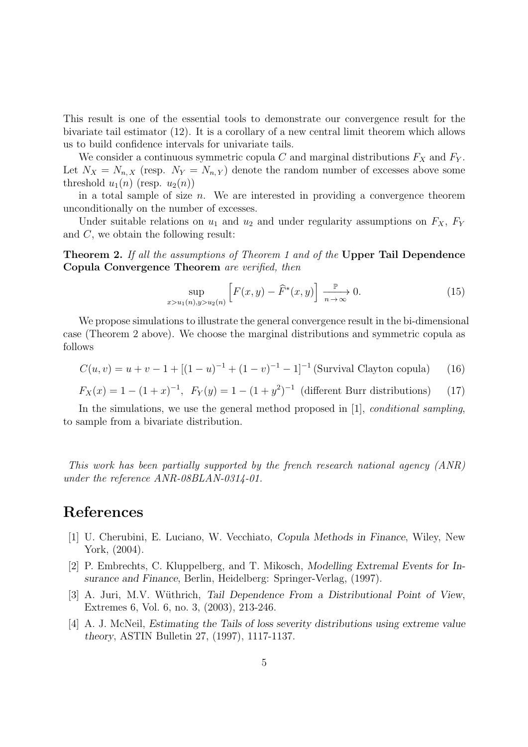This result is one of the essential tools to demonstrate our convergence result for the bivariate tail estimator (12). It is a corollary of a new central limit theorem which allows us to build confidence intervals for univariate tails.

We consider a continuous symmetric copula C and marginal distributions  $F_X$  and  $F_Y$ . Let  $N_X = N_{n,X}$  (resp.  $N_Y = N_{n,Y}$ ) denote the random number of excesses above some threshold  $u_1(n)$  (resp.  $u_2(n)$ )

in a total sample of size n. We are interested in providing a convergence theorem unconditionally on the number of excesses.

Under suitable relations on  $u_1$  and  $u_2$  and under regularity assumptions on  $F_X$ ,  $F_Y$ and  $C$ , we obtain the following result:

Theorem 2. If all the assumptions of Theorem 1 and of the Upper Tail Dependence Copula Convergence Theorem are verified, then

$$
\sup_{x > u_1(n), y > u_2(n)} \left[ F(x, y) - \widehat{F}^*(x, y) \right] \xrightarrow[n \to \infty]{\mathbb{P}} 0.
$$
\n(15)

We propose simulations to illustrate the general convergence result in the bi-dimensional case (Theorem 2 above). We choose the marginal distributions and symmetric copula as follows

$$
C(u, v) = u + v - 1 + [(1 - u)^{-1} + (1 - v)^{-1} - 1]^{-1}
$$
 (Survival Clayton copula) (16)

$$
F_X(x) = 1 - (1 + x)^{-1}
$$
,  $F_Y(y) = 1 - (1 + y^2)^{-1}$  (different Burr distributions) (17)

In the simulations, we use the general method proposed in [1], *conditional sampling*, to sample from a bivariate distribution.

This work has been partially supported by the french research national agency (ANR) under the reference ANR-08BLAN-0314-01.

### References

- [1] U. Cherubini, E. Luciano, W. Vecchiato, Copula Methods in Finance, Wiley, New York, (2004).
- [2] P. Embrechts, C. Kluppelberg, and T. Mikosch, Modelling Extremal Events for Insurance and Finance, Berlin, Heidelberg: Springer-Verlag, (1997).
- [3] A. Juri, M.V. Wüthrich, Tail Dependence From a Distributional Point of View, Extremes 6, Vol. 6, no. 3, (2003), 213-246.
- [4] A. J. McNeil, Estimating the Tails of loss severity distributions using extreme value theory, ASTIN Bulletin 27, (1997), 1117-1137.